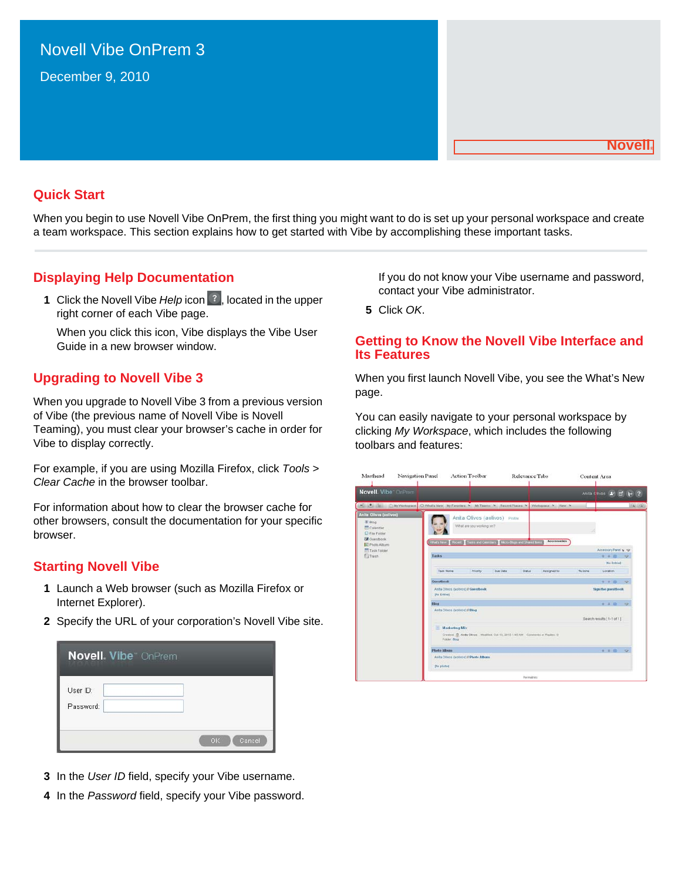# Novell Vibe OnPrem 3

December 9, 2010

#### **Novell®**

### **Quick Start**

When you begin to use Novell Vibe OnPrem, the first thing you might want to do is set up your personal workspace and create a team workspace. This section explains how to get started with Vibe by accomplishing these important tasks.

### **Displaying Help Documentation**

**1** Click the Novell Vibe *Help* icon <sup>?</sup>, located in the upper right corner of each Vibe page.

When you click this icon, Vibe displays the Vibe User Guide in a new browser window.

### **Upgrading to Novell Vibe 3**

When you upgrade to Novell Vibe 3 from a previous version of Vibe (the previous name of Novell Vibe is Novell Teaming), you must clear your browser's cache in order for Vibe to display correctly.

For example, if you are using Mozilla Firefox, click *Tools* > *Clear Cache* in the browser toolbar.

For information about how to clear the browser cache for other browsers, consult the documentation for your specific browser.

### **Starting Novell Vibe**

- **1** Launch a Web browser (such as Mozilla Firefox or Internet Explorer).
- **2** Specify the URL of your corporation's Novell Vibe site.

| <b>Novell. Vibe</b> OnPrem |               |
|----------------------------|---------------|
| User ID:<br>Password:      |               |
|                            | OK.<br>Cancel |

- **3** In the *User ID* field, specify your Vibe username.
- **4** In the *Password* field, specify your Vibe password.

If you do not know your Vibe username and password, contact your Vibe administrator.

**5** Click *OK*.

### **Getting to Know the Novell Vibe Interface and Its Features**

When you first launch Novell Vibe, you see the What's New page.

You can easily navigate to your personal workspace by clicking *My Workspace*, which includes the following toolbars and features:

| Masthead<br>Navigation Panel                                                                | <b>Action Toolbar</b>                                                                    | <b>Relevance Tabs</b>                                                           | Content Area                         |
|---------------------------------------------------------------------------------------------|------------------------------------------------------------------------------------------|---------------------------------------------------------------------------------|--------------------------------------|
| Novell. Viber OnPrem.                                                                       |                                                                                          |                                                                                 | Anita Caves 1 1 1 1 2                |
|                                                                                             | 4 4 Et CM/Vorkspace OWhats New My Favorites N My Teams N Recent Places N                 | Warkspace N. View N.                                                            | 9,59,                                |
| <b>Anita Olives (solives)</b><br>图 Blog<br>Calendar<br>C File Folder<br><b>EX</b> Ouestbook | Anita Olivos (aolivos) Profle<br>What are you working on?                                |                                                                                 |                                      |
| <b>E</b> Photo Album<br>Task Folder<br><b>El Traun</b>                                      | What's New   Rocert   Testis and Calendars   Micro-Dogs and Shared Terra<br><b>Tasks</b> | <b>Accessories</b>                                                              | Accessory Panel & rgr<br>$9 + 8 = 9$ |
|                                                                                             |                                                                                          |                                                                                 | <b>Die Estind</b>                    |
|                                                                                             | Tack Name<br><b>Priority</b>                                                             | Due Date<br><b>Status</b><br>Azzigned to                                        | % Dorm<br>Location                   |
|                                                                                             | Guestbook                                                                                |                                                                                 | 生 本 股<br>$\circ$                     |
|                                                                                             | Anta Olivos (aolivos) // Goestbook<br><b>Pin Entried</b>                                 |                                                                                 | <b>Sign the questbook</b>            |
|                                                                                             | <b>Blog</b>                                                                              |                                                                                 | $+10$<br>۰                           |
|                                                                                             | Anita Olivos (activos) #Blog                                                             |                                                                                 | Search results [1-1 of 1]            |
|                                                                                             | <b>Marketing Mix</b>                                                                     |                                                                                 |                                      |
|                                                                                             | Folder Blog                                                                              | Created: ID. Anits Olivos Modified: Oct 13, 2010 1:45 AM Commerts or Replies: D |                                      |
|                                                                                             | <b>Photo Album</b>                                                                       |                                                                                 | $-4.02$<br>$\sim$                    |
|                                                                                             | Anita Olivos (activos) il Photo Album<br><b>Displated</b>                                |                                                                                 |                                      |
|                                                                                             |                                                                                          | <b>Fernalris</b>                                                                |                                      |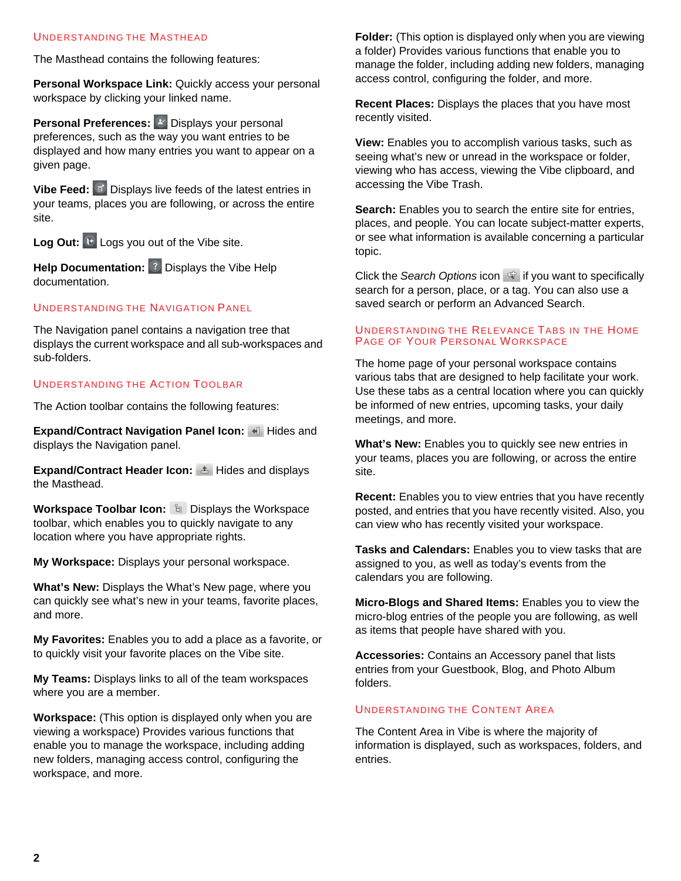### UNDERSTANDING THE MASTHEAD

The Masthead contains the following features:

**Personal Workspace Link:** Quickly access your personal workspace by clicking your linked name.

**Personal Preferences:** <sup>2</sup> Displays your personal preferences, such as the way you want entries to be displayed and how many entries you want to appear on a given page.

**Vibe Feed:** Displays live feeds of the latest entries in your teams, places you are following, or across the entire site.

Log Out: **<b>Logs** you out of the Vibe site.

**Help Documentation:** <sup>?</sup> Displays the Vibe Help documentation.

### UNDERSTANDING THE NAVIGATION PANEL

The Navigation panel contains a navigation tree that displays the current workspace and all sub-workspaces and sub-folders.

### UNDERSTANDING THE ACTION TOOLBAR

The Action toolbar contains the following features:

**Expand/Contract Navigation Panel Icon: 4 Hides and** displays the Navigation panel.

**Expand/Contract Header Icon:** Hides and displays the Masthead.

**Workspace Toolbar Icon:**  $\mathbb{B}$  Displays the Workspace toolbar, which enables you to quickly navigate to any location where you have appropriate rights.

**My Workspace:** Displays your personal workspace.

**What's New:** Displays the What's New page, where you can quickly see what's new in your teams, favorite places, and more.

**My Favorites:** Enables you to add a place as a favorite, or to quickly visit your favorite places on the Vibe site.

**My Teams:** Displays links to all of the team workspaces where you are a member.

**Workspace:** (This option is displayed only when you are viewing a workspace) Provides various functions that enable you to manage the workspace, including adding new folders, managing access control, configuring the workspace, and more.

**Folder:** (This option is displayed only when you are viewing a folder) Provides various functions that enable you to manage the folder, including adding new folders, managing access control, configuring the folder, and more.

**Recent Places:** Displays the places that you have most recently visited.

**View:** Enables you to accomplish various tasks, such as seeing what's new or unread in the workspace or folder, viewing who has access, viewing the Vibe clipboard, and accessing the Vibe Trash.

**Search:** Enables you to search the entire site for entries, places, and people. You can locate subject-matter experts, or see what information is available concerning a particular topic.

Click the *Search Options* icon  $\mathbb{F}$  if you want to specifically search for a person, place, or a tag. You can also use a saved search or perform an Advanced Search.

#### UNDERSTANDING THE RELEVANCE TABS IN THE HOME PAGE OF YOUR PERSONAL WORKSPACE

The home page of your personal workspace contains various tabs that are designed to help facilitate your work. Use these tabs as a central location where you can quickly be informed of new entries, upcoming tasks, your daily meetings, and more.

**What's New:** Enables you to quickly see new entries in your teams, places you are following, or across the entire site.

**Recent:** Enables you to view entries that you have recently posted, and entries that you have recently visited. Also, you can view who has recently visited your workspace.

**Tasks and Calendars:** Enables you to view tasks that are assigned to you, as well as today's events from the calendars you are following.

**Micro-Blogs and Shared Items:** Enables you to view the micro-blog entries of the people you are following, as well as items that people have shared with you.

**Accessories:** Contains an Accessory panel that lists entries from your Guestbook, Blog, and Photo Album folders.

### UNDERSTANDING THE CONTENT AREA

The Content Area in Vibe is where the majority of information is displayed, such as workspaces, folders, and entries.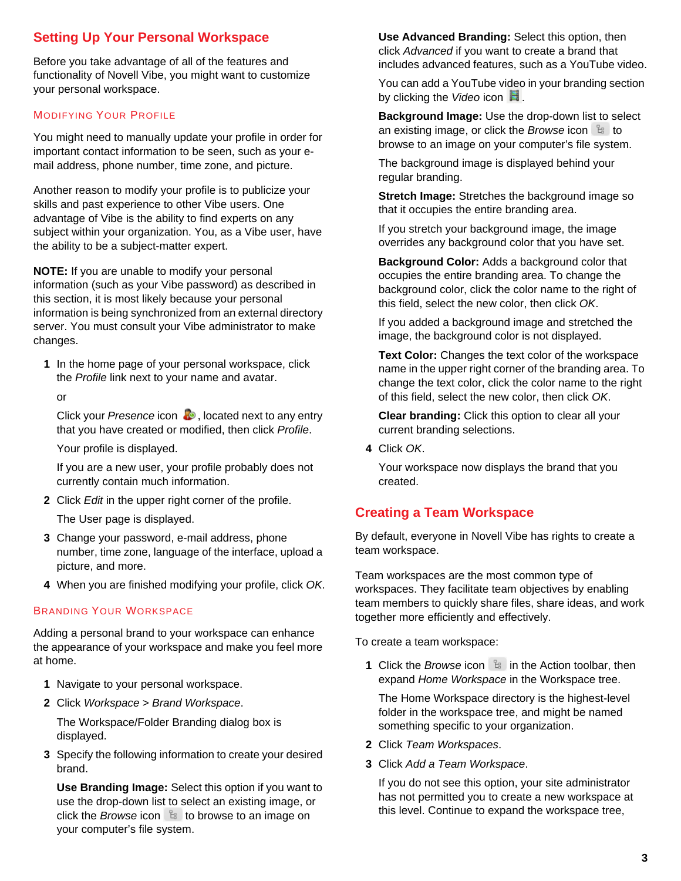## **Setting Up Your Personal Workspace**

Before you take advantage of all of the features and functionality of Novell Vibe, you might want to customize your personal workspace.

### MODIFYING YOUR PROFILE

You might need to manually update your profile in order for important contact information to be seen, such as your email address, phone number, time zone, and picture.

Another reason to modify your profile is to publicize your skills and past experience to other Vibe users. One advantage of Vibe is the ability to find experts on any subject within your organization. You, as a Vibe user, have the ability to be a subject-matter expert.

**NOTE:** If you are unable to modify your personal information (such as your Vibe password) as described in this section, it is most likely because your personal information is being synchronized from an external directory server. You must consult your Vibe administrator to make changes.

**1** In the home page of your personal workspace, click the *Profile* link next to your name and avatar.

or

Click your *Presence* icon **b**, located next to any entry that you have created or modified, then click *Profile*.

Your profile is displayed.

If you are a new user, your profile probably does not currently contain much information.

**2** Click *Edit* in the upper right corner of the profile.

The User page is displayed.

- **3** Change your password, e-mail address, phone number, time zone, language of the interface, upload a picture, and more.
- **4** When you are finished modifying your profile, click *OK*.

### BRANDING YOUR WORKSPACE

Adding a personal brand to your workspace can enhance the appearance of your workspace and make you feel more at home.

- **1** Navigate to your personal workspace.
- **2** Click *Workspace* > *Brand Workspace*.

The Workspace/Folder Branding dialog box is displayed.

**3** Specify the following information to create your desired brand.

**Use Branding Image:** Select this option if you want to use the drop-down list to select an existing image, or click the *Browse* icon  $\frac{1}{2}$  to browse to an image on your computer's file system.

**Use Advanced Branding:** Select this option, then click *Advanced* if you want to create a brand that includes advanced features, such as a YouTube video.

You can add a YouTube video in your branding section by clicking the *Video* icon **.**.

**Background Image:** Use the drop-down list to select an existing image, or click the *Browse* icon  $\frac{a}{b}$  to browse to an image on your computer's file system.

The background image is displayed behind your regular branding.

**Stretch Image:** Stretches the background image so that it occupies the entire branding area.

If you stretch your background image, the image overrides any background color that you have set.

**Background Color:** Adds a background color that occupies the entire branding area. To change the background color, click the color name to the right of this field, select the new color, then click *OK*.

If you added a background image and stretched the image, the background color is not displayed.

**Text Color:** Changes the text color of the workspace name in the upper right corner of the branding area. To change the text color, click the color name to the right of this field, select the new color, then click *OK*.

**Clear branding:** Click this option to clear all your current branding selections.

**4** Click *OK*.

Your workspace now displays the brand that you created.

### **Creating a Team Workspace**

By default, everyone in Novell Vibe has rights to create a team workspace.

Team workspaces are the most common type of workspaces. They facilitate team objectives by enabling team members to quickly share files, share ideas, and work together more efficiently and effectively.

To create a team workspace:

**1** Click the *Browse* icon **in the Action toolbar, then** expand *Home Workspace* in the Workspace tree.

The Home Workspace directory is the highest-level folder in the workspace tree, and might be named something specific to your organization.

- **2** Click *Team Workspaces*.
- **3** Click *Add a Team Workspace*.

If you do not see this option, your site administrator has not permitted you to create a new workspace at this level. Continue to expand the workspace tree,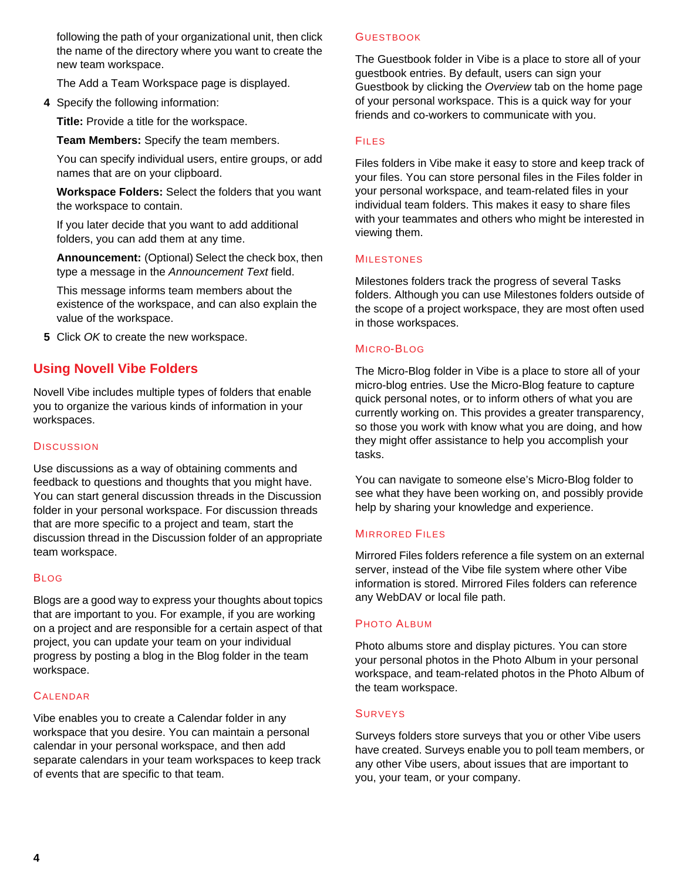following the path of your organizational unit, then click the name of the directory where you want to create the new team workspace.

The Add a Team Workspace page is displayed.

**4** Specify the following information:

**Title:** Provide a title for the workspace.

**Team Members:** Specify the team members.

You can specify individual users, entire groups, or add names that are on your clipboard.

**Workspace Folders:** Select the folders that you want the workspace to contain.

If you later decide that you want to add additional folders, you can add them at any time.

**Announcement:** (Optional) Select the check box, then type a message in the *Announcement Text* field.

This message informs team members about the existence of the workspace, and can also explain the value of the workspace.

**5** Click *OK* to create the new workspace.

### **Using Novell Vibe Folders**

Novell Vibe includes multiple types of folders that enable you to organize the various kinds of information in your workspaces.

#### **DISCUSSION**

Use discussions as a way of obtaining comments and feedback to questions and thoughts that you might have. You can start general discussion threads in the Discussion folder in your personal workspace. For discussion threads that are more specific to a project and team, start the discussion thread in the Discussion folder of an appropriate team workspace.

#### BLOG

Blogs are a good way to express your thoughts about topics that are important to you. For example, if you are working on a project and are responsible for a certain aspect of that project, you can update your team on your individual progress by posting a blog in the Blog folder in the team workspace.

#### **CALENDAR**

Vibe enables you to create a Calendar folder in any workspace that you desire. You can maintain a personal calendar in your personal workspace, and then add separate calendars in your team workspaces to keep track of events that are specific to that team.

### **GUESTBOOK**

The Guestbook folder in Vibe is a place to store all of your guestbook entries. By default, users can sign your Guestbook by clicking the *Overview* tab on the home page of your personal workspace. This is a quick way for your friends and co-workers to communicate with you.

### FILES

Files folders in Vibe make it easy to store and keep track of your files. You can store personal files in the Files folder in your personal workspace, and team-related files in your individual team folders. This makes it easy to share files with your teammates and others who might be interested in viewing them.

### **MILESTONES**

Milestones folders track the progress of several Tasks folders. Although you can use Milestones folders outside of the scope of a project workspace, they are most often used in those workspaces.

### MICRO-BLOG

The Micro-Blog folder in Vibe is a place to store all of your micro-blog entries. Use the Micro-Blog feature to capture quick personal notes, or to inform others of what you are currently working on. This provides a greater transparency, so those you work with know what you are doing, and how they might offer assistance to help you accomplish your tasks.

You can navigate to someone else's Micro-Blog folder to see what they have been working on, and possibly provide help by sharing your knowledge and experience.

### MIRRORED FILES

Mirrored Files folders reference a file system on an external server, instead of the Vibe file system where other Vibe information is stored. Mirrored Files folders can reference any WebDAV or local file path.

### PHOTO ALBUM

Photo albums store and display pictures. You can store your personal photos in the Photo Album in your personal workspace, and team-related photos in the Photo Album of the team workspace.

#### **SURVEYS**

Surveys folders store surveys that you or other Vibe users have created. Surveys enable you to poll team members, or any other Vibe users, about issues that are important to you, your team, or your company.